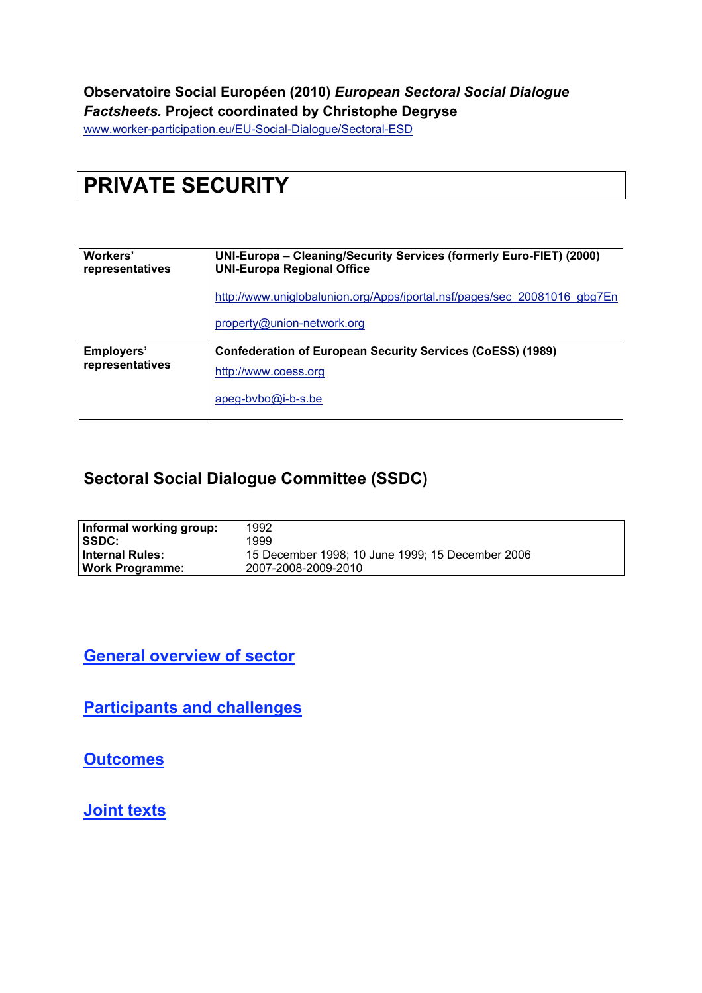#### **Observatoire Social Européen (2010)** *European Sectoral Social Dialogue Factsheets.* **Project coordinated by Christophe Degryse**

www.worker-participation.eu/EU-Social-Dialogue/Sectoral-ESD

# **PRIVATE SECURITY**

| Workers'<br>representatives | UNI-Europa - Cleaning/Security Services (formerly Euro-FIET) (2000)<br><b>UNI-Europa Regional Office</b> |  |  |  |  |
|-----------------------------|----------------------------------------------------------------------------------------------------------|--|--|--|--|
|                             | http://www.uniglobalunion.org/Apps/iportal.nsf/pages/sec 20081016 gbg7En                                 |  |  |  |  |
|                             | property@union-network.org                                                                               |  |  |  |  |
| Employers'                  | <b>Confederation of European Security Services (CoESS) (1989)</b>                                        |  |  |  |  |
| representatives             | http://www.coess.org                                                                                     |  |  |  |  |
|                             | $apeg-bvbo@i-b-s.be$                                                                                     |  |  |  |  |

### **Sectoral Social Dialogue Committee (SSDC)**

| Informal working group: | 1992                                             |
|-------------------------|--------------------------------------------------|
| <b>SSDC:</b>            | 1999                                             |
| <b>Internal Rules:</b>  | 15 December 1998; 10 June 1999; 15 December 2006 |
| <b>Work Programme:</b>  | 2007-2008-2009-2010                              |

#### **General overview of sector**

**Participants and challenges**

**Outcomes**

**Joint texts**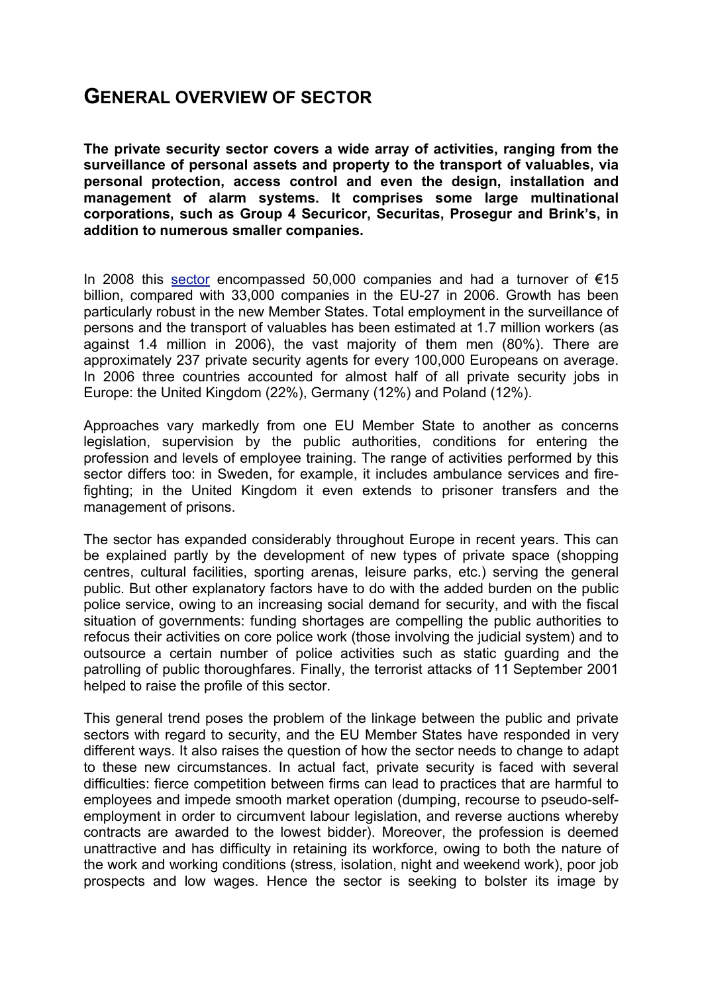### **GENERAL OVERVIEW OF SECTOR**

**The private security sector covers a wide array of activities, ranging from the surveillance of personal assets and property to the transport of valuables, via personal protection, access control and even the design, installation and management of alarm systems. It comprises some large multinational corporations, such as Group 4 Securicor, Securitas, Prosegur and Brink's, in addition to numerous smaller companies.**

In 2008 this sector encompassed 50,000 companies and had a turnover of  $€15$ billion, compared with 33,000 companies in the EU-27 in 2006. Growth has been particularly robust in the new Member States. Total employment in the surveillance of persons and the transport of valuables has been estimated at 1.7 million workers (as against 1.4 million in 2006), the vast majority of them men (80%). There are approximately 237 private security agents for every 100,000 Europeans on average. In 2006 three countries accounted for almost half of all private security jobs in Europe: the United Kingdom (22%), Germany (12%) and Poland (12%).

Approaches vary markedly from one EU Member State to another as concerns legislation, supervision by the public authorities, conditions for entering the profession and levels of employee training. The range of activities performed by this sector differs too: in Sweden, for example, it includes ambulance services and firefighting; in the United Kingdom it even extends to prisoner transfers and the management of prisons.

The sector has expanded considerably throughout Europe in recent years. This can be explained partly by the development of new types of private space (shopping centres, cultural facilities, sporting arenas, leisure parks, etc.) serving the general public. But other explanatory factors have to do with the added burden on the public police service, owing to an increasing social demand for security, and with the fiscal situation of governments: funding shortages are compelling the public authorities to refocus their activities on core police work (those involving the judicial system) and to outsource a certain number of police activities such as static guarding and the patrolling of public thoroughfares. Finally, the terrorist attacks of 11 September 2001 helped to raise the profile of this sector.

This general trend poses the problem of the linkage between the public and private sectors with regard to security, and the EU Member States have responded in very different ways. It also raises the question of how the sector needs to change to adapt to these new circumstances. In actual fact, private security is faced with several difficulties: fierce competition between firms can lead to practices that are harmful to employees and impede smooth market operation (dumping, recourse to pseudo-selfemployment in order to circumvent labour legislation, and reverse auctions whereby contracts are awarded to the lowest bidder). Moreover, the profession is deemed unattractive and has difficulty in retaining its workforce, owing to both the nature of the work and working conditions (stress, isolation, night and weekend work), poor job prospects and low wages. Hence the sector is seeking to bolster its image by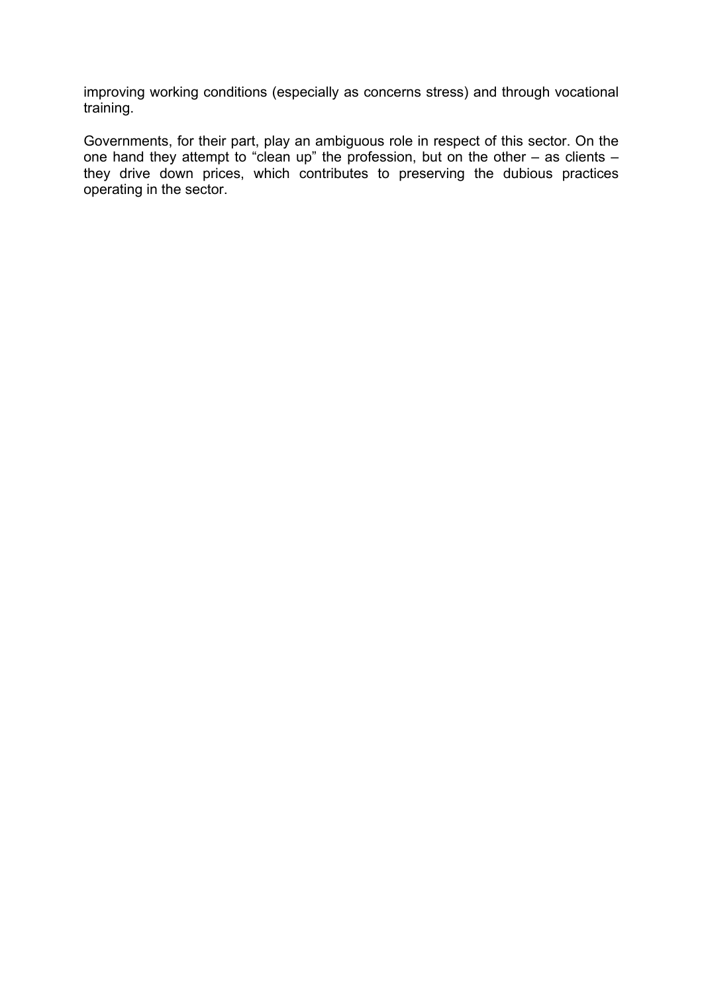improving working conditions (especially as concerns stress) and through vocational training.

Governments, for their part, play an ambiguous role in respect of this sector. On the one hand they attempt to "clean up" the profession, but on the other – as clients – they drive down prices, which contributes to preserving the dubious practices operating in the sector.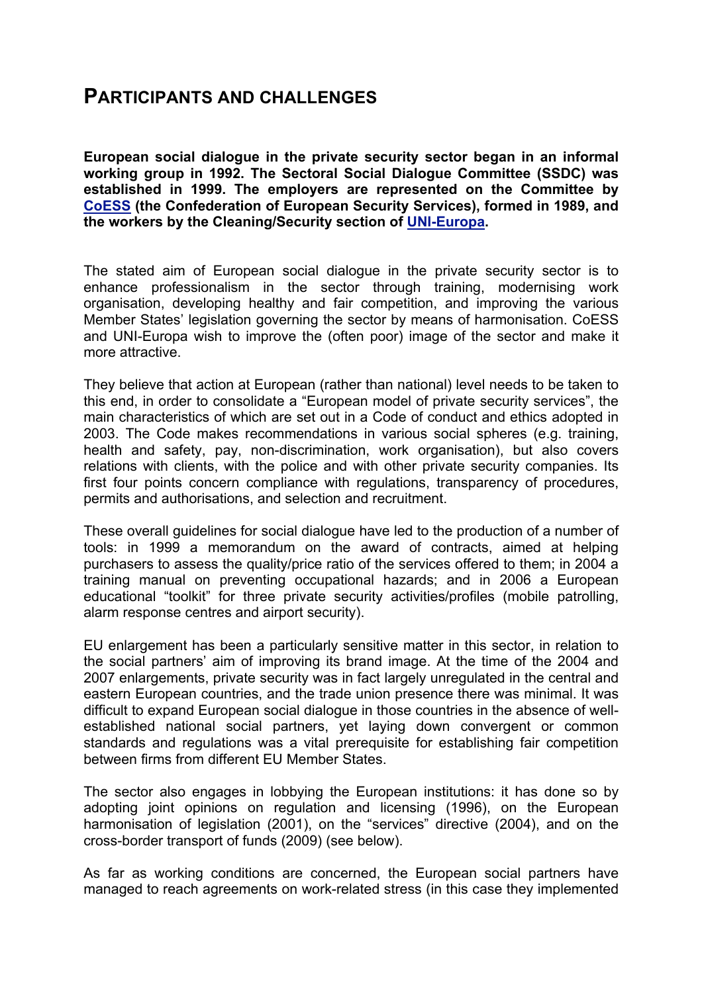### **PARTICIPANTS AND CHALLENGES**

**European social dialogue in the private security sector began in an informal working group in 1992. The Sectoral Social Dialogue Committee (SSDC) was established in 1999. The employers are represented on the Committee by CoESS (the Confederation of European Security Services), formed in 1989, and the workers by the Cleaning/Security section of UNI-Europa.**

The stated aim of European social dialogue in the private security sector is to enhance professionalism in the sector through training, modernising work organisation, developing healthy and fair competition, and improving the various Member States' legislation governing the sector by means of harmonisation. CoESS and UNI-Europa wish to improve the (often poor) image of the sector and make it more attractive.

They believe that action at European (rather than national) level needs to be taken to this end, in order to consolidate a "European model of private security services", the main characteristics of which are set out in a Code of conduct and ethics adopted in 2003. The Code makes recommendations in various social spheres (e.g. training, health and safety, pay, non-discrimination, work organisation), but also covers relations with clients, with the police and with other private security companies. Its first four points concern compliance with regulations, transparency of procedures, permits and authorisations, and selection and recruitment.

These overall guidelines for social dialogue have led to the production of a number of tools: in 1999 a memorandum on the award of contracts, aimed at helping purchasers to assess the quality/price ratio of the services offered to them; in 2004 a training manual on preventing occupational hazards; and in 2006 a European educational "toolkit" for three private security activities/profiles (mobile patrolling, alarm response centres and airport security).

EU enlargement has been a particularly sensitive matter in this sector, in relation to the social partners' aim of improving its brand image. At the time of the 2004 and 2007 enlargements, private security was in fact largely unregulated in the central and eastern European countries, and the trade union presence there was minimal. It was difficult to expand European social dialogue in those countries in the absence of wellestablished national social partners, yet laying down convergent or common standards and regulations was a vital prerequisite for establishing fair competition between firms from different EU Member States.

The sector also engages in lobbying the European institutions: it has done so by adopting joint opinions on regulation and licensing (1996), on the European harmonisation of legislation (2001), on the "services" directive (2004), and on the cross-border transport of funds (2009) (see below).

As far as working conditions are concerned, the European social partners have managed to reach agreements on work-related stress (in this case they implemented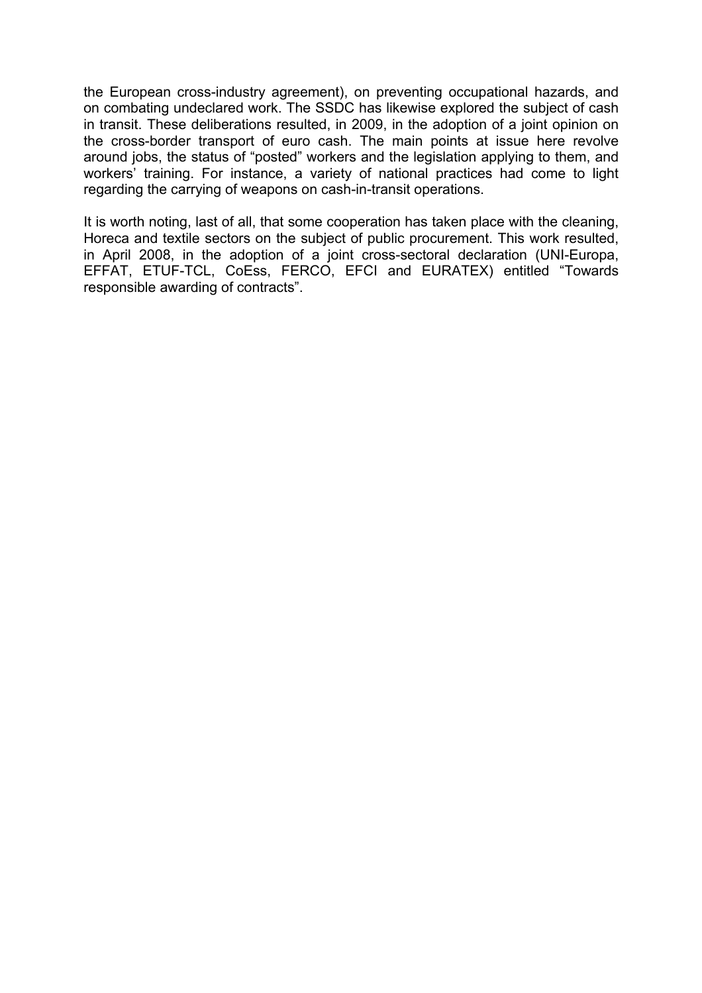the European cross-industry agreement), on preventing occupational hazards, and on combating undeclared work. The SSDC has likewise explored the subject of cash in transit. These deliberations resulted, in 2009, in the adoption of a joint opinion on the cross-border transport of euro cash. The main points at issue here revolve around jobs, the status of "posted" workers and the legislation applying to them, and workers' training. For instance, a variety of national practices had come to light regarding the carrying of weapons on cash-in-transit operations.

It is worth noting, last of all, that some cooperation has taken place with the cleaning, Horeca and textile sectors on the subject of public procurement. This work resulted, in April 2008, in the adoption of a joint cross-sectoral declaration (UNI-Europa, EFFAT, ETUF-TCL, CoEss, FERCO, EFCI and EURATEX) entitled "Towards responsible awarding of contracts".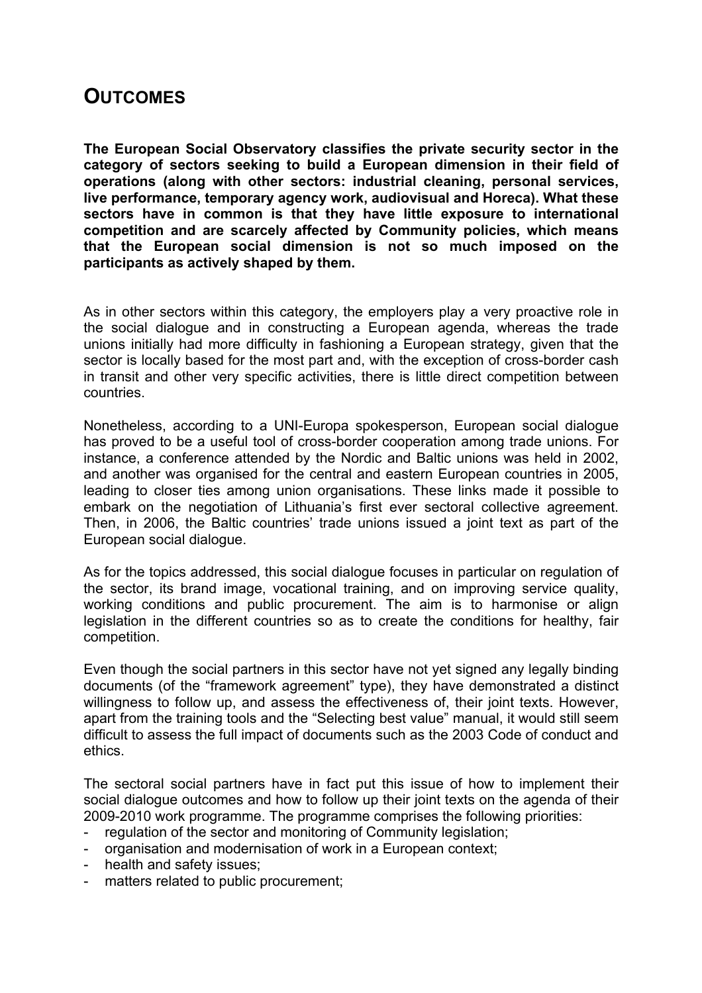## **OUTCOMES**

**The European Social Observatory classifies the private security sector in the category of sectors seeking to build a European dimension in their field of operations (along with other sectors: industrial cleaning, personal services, live performance, temporary agency work, audiovisual and Horeca). What these sectors have in common is that they have little exposure to international competition and are scarcely affected by Community policies, which means that the European social dimension is not so much imposed on the participants as actively shaped by them.**

As in other sectors within this category, the employers play a very proactive role in the social dialogue and in constructing a European agenda, whereas the trade unions initially had more difficulty in fashioning a European strategy, given that the sector is locally based for the most part and, with the exception of cross-border cash in transit and other very specific activities, there is little direct competition between countries.

Nonetheless, according to a UNI-Europa spokesperson, European social dialogue has proved to be a useful tool of cross-border cooperation among trade unions. For instance, a conference attended by the Nordic and Baltic unions was held in 2002, and another was organised for the central and eastern European countries in 2005, leading to closer ties among union organisations. These links made it possible to embark on the negotiation of Lithuania's first ever sectoral collective agreement. Then, in 2006, the Baltic countries' trade unions issued a joint text as part of the European social dialogue.

As for the topics addressed, this social dialogue focuses in particular on regulation of the sector, its brand image, vocational training, and on improving service quality, working conditions and public procurement. The aim is to harmonise or align legislation in the different countries so as to create the conditions for healthy, fair competition.

Even though the social partners in this sector have not yet signed any legally binding documents (of the "framework agreement" type), they have demonstrated a distinct willingness to follow up, and assess the effectiveness of, their joint texts. However, apart from the training tools and the "Selecting best value" manual, it would still seem difficult to assess the full impact of documents such as the 2003 Code of conduct and ethics.

The sectoral social partners have in fact put this issue of how to implement their social dialogue outcomes and how to follow up their joint texts on the agenda of their 2009-2010 work programme. The programme comprises the following priorities:

- regulation of the sector and monitoring of Community legislation;
- organisation and modernisation of work in a European context;
- health and safety issues;
- matters related to public procurement;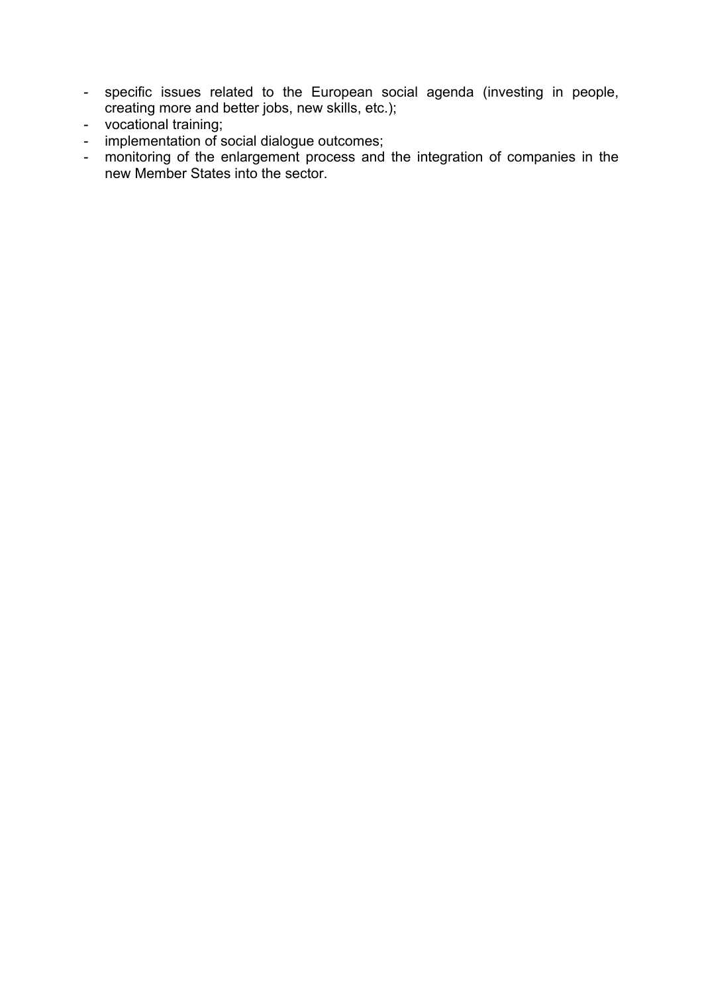- specific issues related to the European social agenda (investing in people, creating more and better jobs, new skills, etc.);
- vocational training;
- implementation of social dialogue outcomes;
- monitoring of the enlargement process and the integration of companies in the new Member States into the sector.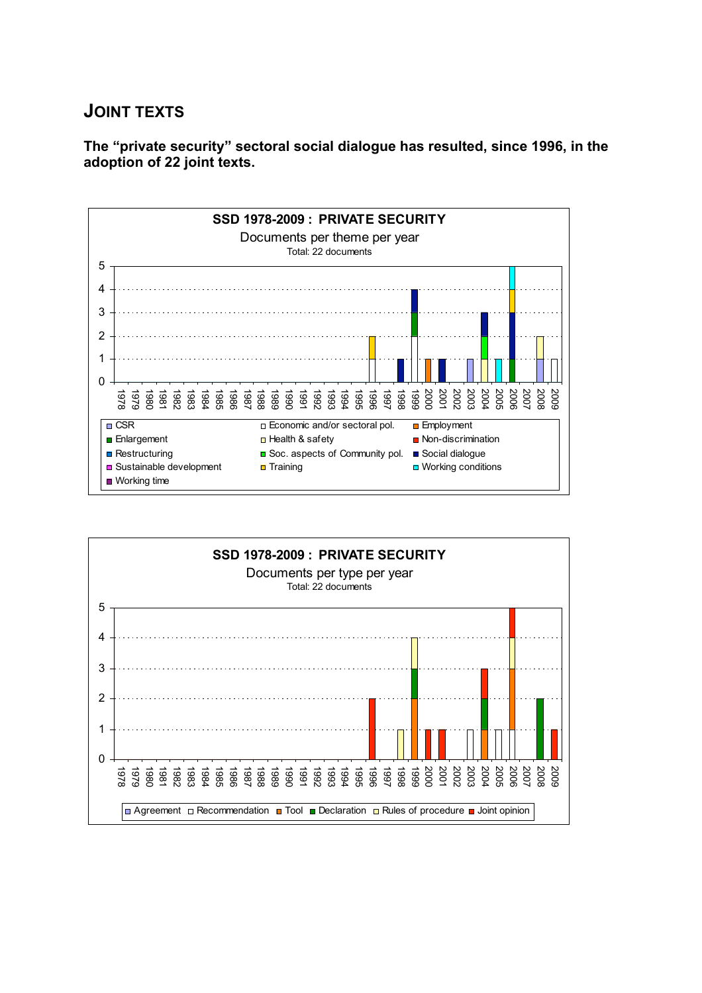#### **JOINT TEXTS**

**The "private security" sectoral social dialogue has resulted, since 1996, in the adoption of 22 joint texts.**



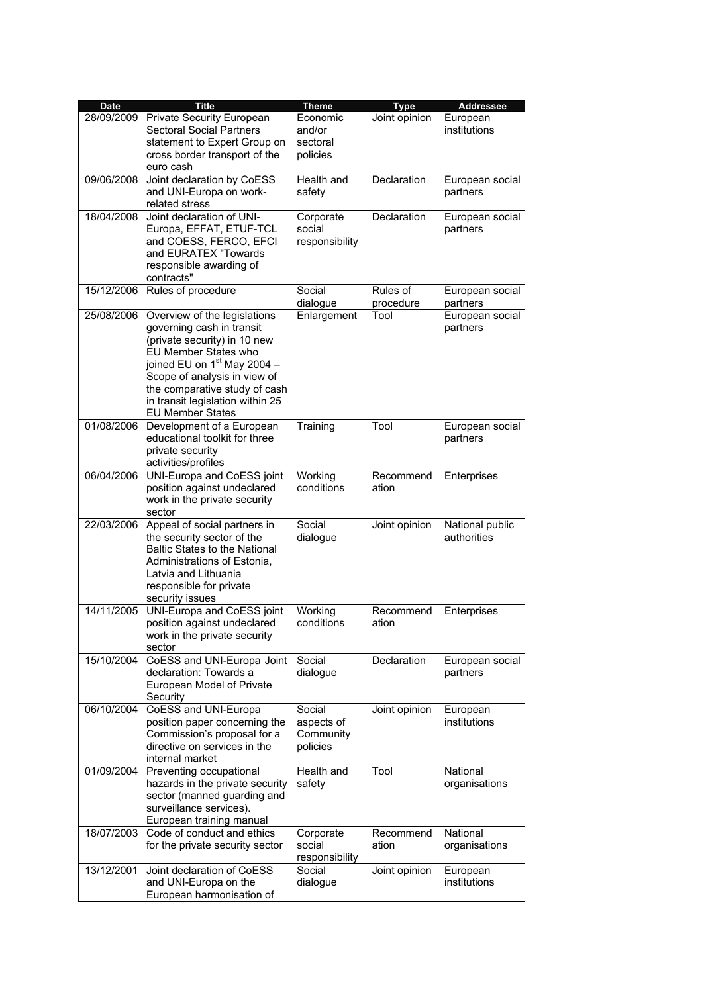| <b>Date</b> | <b>Title</b>                                                                                                                                                                                                                                                                       | <b>Theme</b>                                  | <b>Type</b>           | Addressee                      |
|-------------|------------------------------------------------------------------------------------------------------------------------------------------------------------------------------------------------------------------------------------------------------------------------------------|-----------------------------------------------|-----------------------|--------------------------------|
| 28/09/2009  | Private Security European<br><b>Sectoral Social Partners</b><br>statement to Expert Group on<br>cross border transport of the<br>euro cash                                                                                                                                         | Economic<br>and/or<br>sectoral<br>policies    | Joint opinion         | European<br>institutions       |
| 09/06/2008  | Joint declaration by CoESS<br>and UNI-Europa on work-<br>related stress                                                                                                                                                                                                            | <b>Health and</b><br>safety                   | Declaration           | European social<br>partners    |
| 18/04/2008  | Joint declaration of UNI-<br>Europa, EFFAT, ETUF-TCL<br>and COESS, FERCO, EFCI<br>and EURATEX "Towards<br>responsible awarding of<br>contracts"                                                                                                                                    | Corporate<br>social<br>responsibility         | Declaration           | European social<br>partners    |
| 15/12/2006  | Rules of procedure                                                                                                                                                                                                                                                                 | Social<br>dialogue                            | Rules of<br>procedure | European social<br>partners    |
| 25/08/2006  | Overview of the legislations<br>governing cash in transit<br>(private security) in 10 new<br>EU Member States who<br>joined EU on $1st$ May 2004 -<br>Scope of analysis in view of<br>the comparative study of cash<br>in transit legislation within 25<br><b>EU Member States</b> | Enlargement                                   | Tool                  | European social<br>partners    |
| 01/08/2006  | Development of a European<br>educational toolkit for three<br>private security<br>activities/profiles                                                                                                                                                                              | Training                                      | Tool                  | European social<br>partners    |
| 06/04/2006  | UNI-Europa and CoESS joint<br>position against undeclared<br>work in the private security<br>sector                                                                                                                                                                                | Working<br>conditions                         | Recommend<br>ation    | Enterprises                    |
| 22/03/2006  | Appeal of social partners in<br>the security sector of the<br>Baltic States to the National<br>Administrations of Estonia,<br>Latvia and Lithuania<br>responsible for private<br>security issues                                                                                   | Social<br>dialogue                            | Joint opinion         | National public<br>authorities |
| 14/11/2005  | UNI-Europa and CoESS joint<br>position against undeclared<br>work in the private security<br>sector                                                                                                                                                                                | Working<br>conditions                         | Recommend<br>ation    | Enterprises                    |
| 15/10/2004  | CoESS and UNI-Europa Joint<br>declaration: Towards a<br>European Model of Private<br>Security                                                                                                                                                                                      | Social<br>dialogue                            | Declaration           | European social<br>partners    |
| 06/10/2004  | CoESS and UNI-Europa<br>position paper concerning the<br>Commission's proposal for a<br>directive on services in the<br>internal market                                                                                                                                            | Social<br>aspects of<br>Community<br>policies | Joint opinion         | European<br>institutions       |
| 01/09/2004  | Preventing occupational<br>hazards in the private security<br>sector (manned guarding and<br>surveillance services).<br>European training manual                                                                                                                                   | Health and<br>safety                          | Tool                  | National<br>organisations      |
| 18/07/2003  | Code of conduct and ethics<br>for the private security sector                                                                                                                                                                                                                      | Corporate<br>social<br>responsibility         | Recommend<br>ation    | National<br>organisations      |
| 13/12/2001  | Joint declaration of CoESS<br>and UNI-Europa on the<br>European harmonisation of                                                                                                                                                                                                   | Social<br>dialogue                            | Joint opinion         | European<br>institutions       |